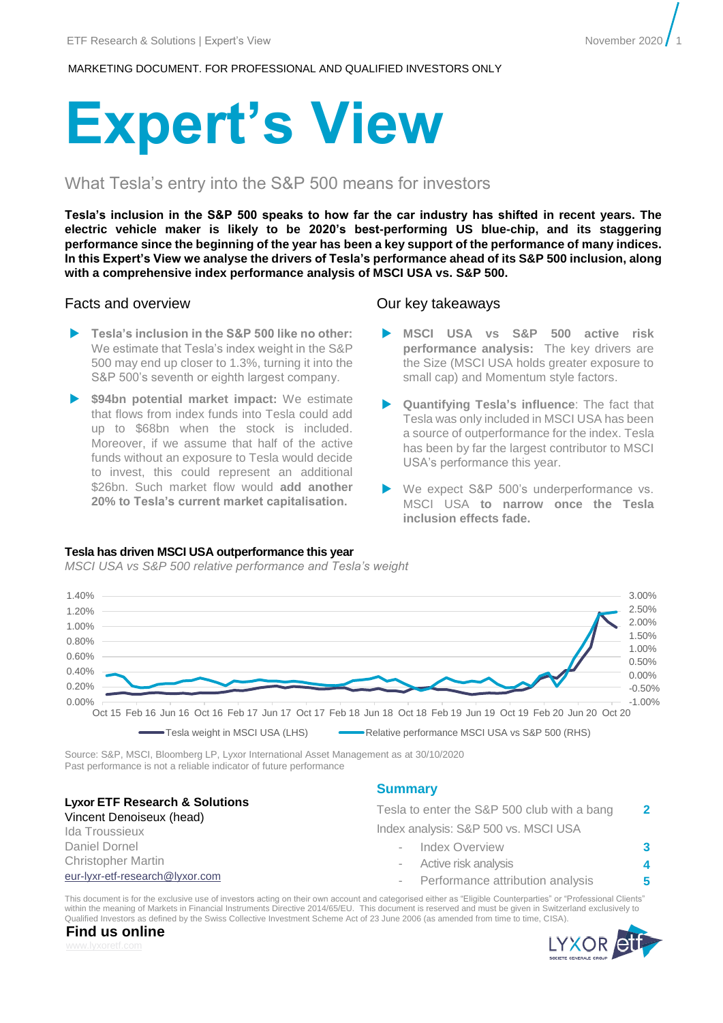# **Expert's View**

# What Tesla's entry into the S&P 500 means for investors

**Tesla's inclusion in the S&P 500 speaks to how far the car industry has shifted in recent years. The electric vehicle maker is likely to be 2020's best-performing US blue-chip, and its staggering performance since the beginning of the year has been a key support of the performance of many indices. In this Expert's View we analyse the drivers of Tesla's performance ahead of its S&P 500 inclusion, along with a comprehensive index performance analysis of MSCI USA vs. S&P 500.** 

# Facts and overview **Example 2018** Our key takeaways

- **Tesla's inclusion in the S&P 500 like no other:** We estimate that Tesla's index weight in the S&P 500 may end up closer to 1.3%, turning it into the S&P 500's seventh or eighth largest company.
- **\$94bn potential market impact:** We estimate that flows from index funds into Tesla could add up to \$68bn when the stock is included. Moreover, if we assume that half of the active funds without an exposure to Tesla would decide to invest, this could represent an additional \$26bn. Such market flow would **add another 20% to Tesla's current market capitalisation.**

- **MSCI USA vs S&P 500 active risk performance analysis:** The key drivers are the Size (MSCI USA holds greater exposure to small cap) and Momentum style factors.
- **Quantifying Tesla's influence**: The fact that Tesla was only included in MSCI USA has been a source of outperformance for the index. Tesla has been by far the largest contributor to MSCI USA's performance this year.
- We expect S&P 500's underperformance vs. MSCI USA **to narrow once the Tesla inclusion effects fade.**

# **Tesla has driven MSCI USA outperformance this year**

*MSCI USA vs S&P 500 relative performance and Tesla's weight*



Source: S&P, MSCI, Bloomberg LP, Lyxor International Asset Management as at 30/10/2020 Past performance is not a reliable indicator of future performance

**Lyxor ETF Research & Solutions** Vincent Denoiseux (head) Ida Troussieux Daniel Dornel Christopher Martin [eur-lyxr-etf-research@lyxor.com](mailto:eur-lyxr-etf-research@lyxor.com)

# **Summary**

|                                      |        | Tesla to enter the S&P 500 club with a bang |   |
|--------------------------------------|--------|---------------------------------------------|---|
| Index analysis: S&P 500 vs. MSCI USA |        |                                             |   |
|                                      | $\sim$ | Index Overview                              |   |
|                                      | $\sim$ | Active risk analysis                        | 4 |
|                                      |        | Performance attribution analysis            | 5 |
|                                      |        |                                             |   |

This document is for the exclusive use of investors acting on their own account and categorised either as "Eligible Counterparties" or "Professional Clients" within the meaning of Markets in Financial Instruments Directive 2014/65/EU. This document is reserved and must be given in Switzerland exclusively to Qualified Investors as defined by the Swiss Collective Investment Scheme Act of 23 June 2006 (as amended from time to time, CISA).



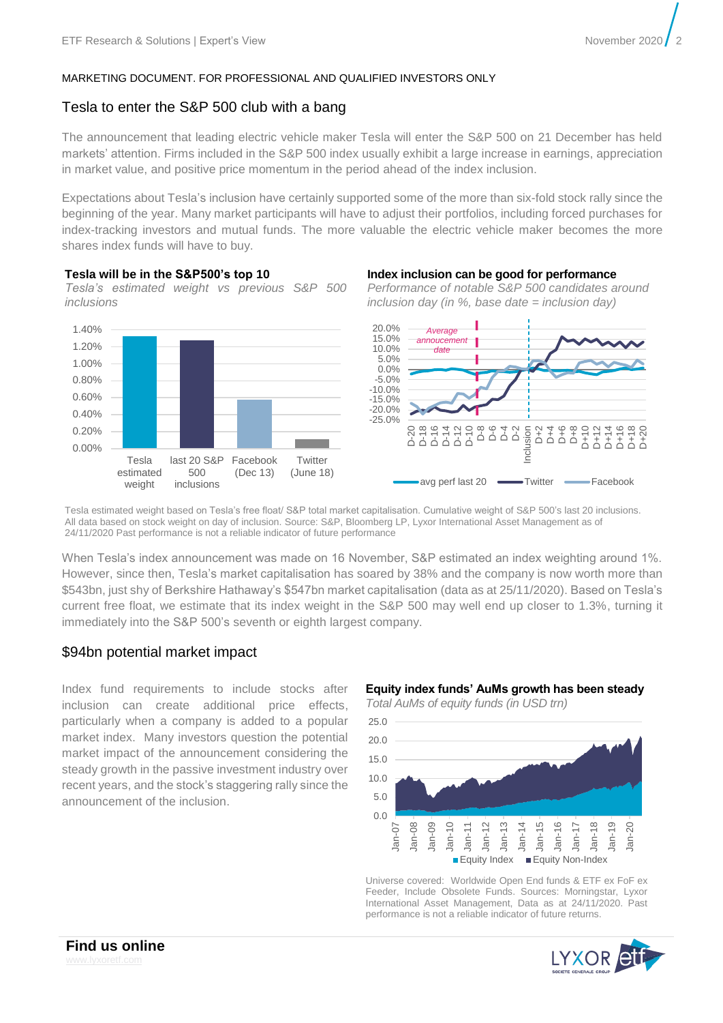# Tesla to enter the S&P 500 club with a bang

The announcement that leading electric vehicle maker Tesla will enter the S&P 500 on 21 December has held markets' attention. Firms included in the S&P 500 index usually exhibit a large increase in earnings, appreciation in market value, and positive price momentum in the period ahead of the index inclusion.

Expectations about Tesla's inclusion have certainly supported some of the more than six-fold stock rally since the beginning of the year. Many market participants will have to adjust their portfolios, including forced purchases for index-tracking investors and mutual funds. The more valuable the electric vehicle maker becomes the more shares index funds will have to buy.

# **Tesla will be in the S&P500's top 10**

*Tesla's estimated weight vs previous S&P 500 inclusions*



# **Index inclusion can be good for performance**

*Performance of notable S&P 500 candidates around inclusion day (in %, base date = inclusion day)*



Tesla estimated weight based on Tesla's free float/ S&P total market capitalisation. Cumulative weight of S&P 500's last 20 inclusions. All data based on stock weight on day of inclusion. Source: S&P, Bloomberg LP, Lyxor International Asset Management as of 24/11/2020 Past performance is not a reliable indicator of future performance

When Tesla's index announcement was made on 16 November, S&P estimated an index weighting around 1%. However, since then, Tesla's market capitalisation has soared by 38% and the company is now worth more than \$543bn, just shy of Berkshire Hathaway's \$547bn market capitalisation (data as at 25/11/2020). Based on Tesla's current free float, we estimate that its index weight in the S&P 500 may well end up closer to 1.3%, turning it immediately into the S&P 500's seventh or eighth largest company.

# \$94bn potential market impact

Index fund requirements to include stocks after inclusion can create additional price effects, particularly when a company is added to a popular market index. Many investors question the potential market impact of the announcement considering the steady growth in the passive investment industry over recent years, and the stock's staggering rally since the announcement of the inclusion.

# **Equity index funds' AuMs growth has been steady**

*Total AuMs of equity funds (in USD trn)*



Universe covered: Worldwide Open End funds & ETF ex FoF ex Feeder, Include Obsolete Funds. Sources: Morningstar, Lyxor International Asset Management, Data as at 24/11/2020. Past performance is not a reliable indicator of future returns.

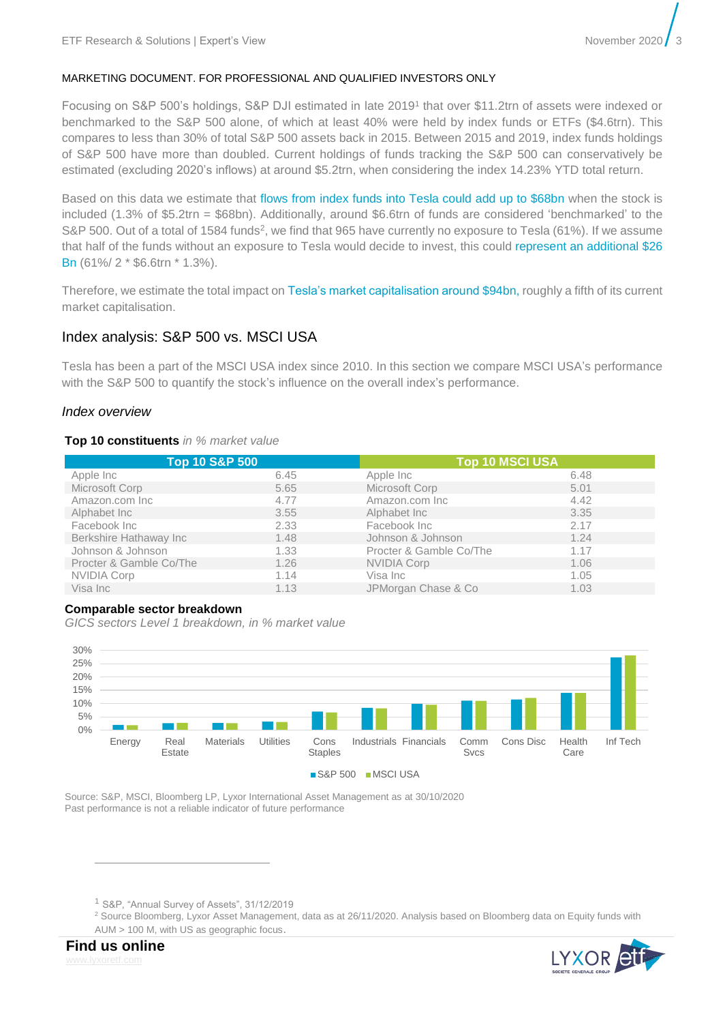Focusing on S&P 500's holdings, S&P DJI estimated in late 2019<sup>1</sup> that over \$11.2trn of assets were indexed or benchmarked to the S&P 500 alone, of which at least 40% were held by index funds or ETFs (\$4.6trn). This compares to less than 30% of total S&P 500 assets back in 2015. Between 2015 and 2019, index funds holdings of S&P 500 have more than doubled. Current holdings of funds tracking the S&P 500 can conservatively be estimated (excluding 2020's inflows) at around \$5.2trn, when considering the index 14.23% YTD total return.

Based on this data we estimate that flows from index funds into Tesla could add up to \$68bn when the stock is included (1.3% of \$5.2trn = \$68bn). Additionally, around \$6.6trn of funds are considered 'benchmarked' to the S&P 500. Out of a total of 1584 funds<sup>2</sup>, we find that 965 have currently no exposure to Tesla (61%). If we assume that half of the funds without an exposure to Tesla would decide to invest, this could represent an additional \$26 Bn (61%/ 2 \* \$6.6trn \* 1.3%).

Therefore, we estimate the total impact on Tesla's market capitalisation around \$94bn, roughly a fifth of its current market capitalisation.

# Index analysis: S&P 500 vs. MSCI USA

Tesla has been a part of the MSCI USA index since 2010. In this section we compare MSCI USA's performance with the S&P 500 to quantify the stock's influence on the overall index's performance.

# *Index overview*

# **Top 10 constituents** *in % market value*

| <b>Top 10 S&amp;P 500</b> |      |                         | <b>Top 10 MSCI USA</b> |  |  |
|---------------------------|------|-------------------------|------------------------|--|--|
| Apple Inc                 | 6.45 | Apple Inc               | 6.48                   |  |  |
| Microsoft Corp            | 5.65 | Microsoft Corp          | 5.01                   |  |  |
| Amazon.com Inc            | 4.77 | Amazon.com Inc          | 4.42                   |  |  |
| Alphabet Inc              | 3.55 | Alphabet Inc            | 3.35                   |  |  |
| Facebook Inc              | 2.33 | Facebook Inc            | 2.17                   |  |  |
| Berkshire Hathaway Inc    | 1.48 | Johnson & Johnson       | 1.24                   |  |  |
| Johnson & Johnson         | 1.33 | Procter & Gamble Co/The | 1.17                   |  |  |
| Procter & Gamble Co/The   | 1.26 | NVIDIA Corp             | 1.06                   |  |  |
| <b>NVIDIA Corp</b>        | 1.14 | Visa Inc                | 1.05                   |  |  |
| Visa Inc                  | 1.13 | JPMorgan Chase & Co     | 1.03                   |  |  |

# **Comparable sector breakdown**

*GICS sectors Level 1 breakdown, in % market value*



Source: S&P, MSCI, Bloomberg LP, Lyxor International Asset Management as at 30/10/2020 Past performance is not a reliable indicator of future performance

<sup>1</sup> S&P, "Annual Survey of Assets", 31/12/2019

<sup>2</sup> Source Bloomberg, Lyxor Asset Management, data as at 26/11/2020. Analysis based on Bloomberg data on Equity funds with AUM > 100 M, with US as geographic focus.



**Find us online**

 $\overline{a}$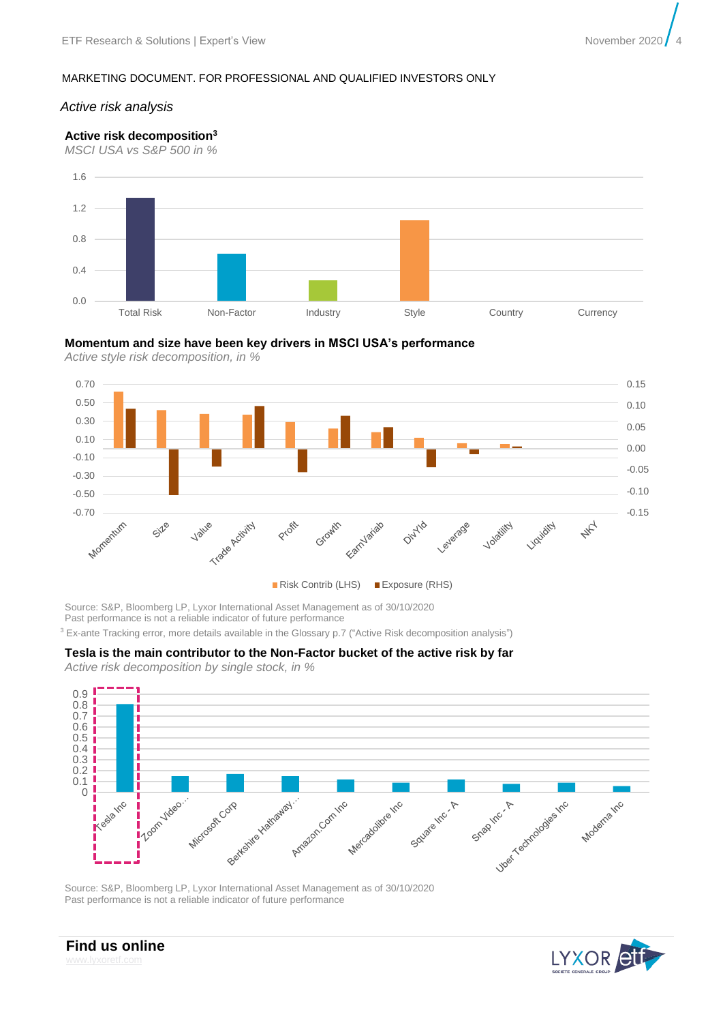# *Active risk analysis*

# **Active risk decomposition<sup>3</sup>**

*MSCI USA vs S&P 500 in %*



# **Momentum and size have been key drivers in MSCI USA's performance**

*Active style risk decomposition, in %*



Source: S&P, Bloomberg LP, Lyxor International Asset Management as of 30/10/2020 Past performance is not a reliable indicator of future performance

<sup>3</sup> Ex-ante Tracking error, more details available in the Glossary p.7 ("Active Risk decomposition analysis")

# **Tesla is the main contributor to the Non-Factor bucket of the active risk by far**

*Active risk decomposition by single stock, in %*

**Find us online**



Source: S&P, Bloomberg LP, Lyxor International Asset Management as of 30/10/2020 Past performance is not a reliable indicator of future performance

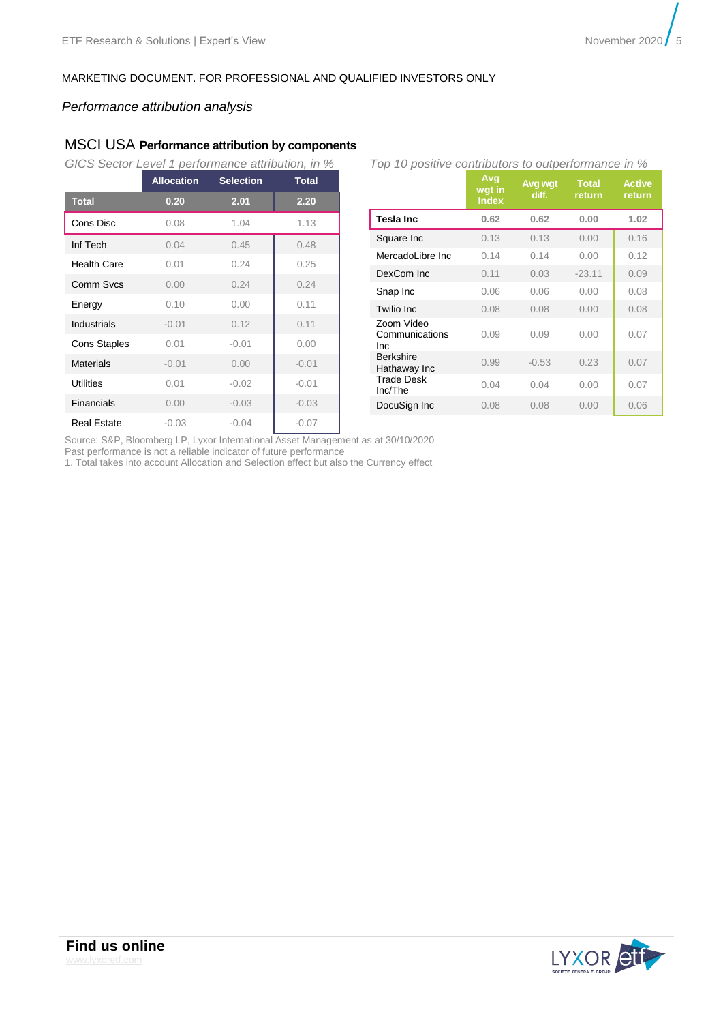# *Performance attribution analysis*

# MSCI USA **Performance attribution by components**

*GICS Sector Level 1 performance attribution, in % Top 10 positive contrital* 

|                    | <b>Allocation</b> | <b>Selection</b> | <b>Total</b> |
|--------------------|-------------------|------------------|--------------|
| <b>Total</b>       | 0.20              | 2.01             | 2.20         |
| Cons Disc          | 0.08              | 1.04             | 1.13         |
| Inf Tech           | 0.04              | 0.45             | 0.48         |
| Health Care        | 0.01              | 0.24             | 0.25         |
| Comm Sycs          | 0.00              | 0.24             | 0.24         |
| Energy             | 0.10              | 0.00             | 0.11         |
| Industrials        | $-0.01$           | 0.12             | 0.11         |
| Cons Staples       | 0.01              | $-0.01$          | 0.00         |
| <b>Materials</b>   | $-0.01$           | 0.00             | $-0.01$      |
| <b>Utilities</b>   | 0.01              | $-0.02$          | $-0.01$      |
| Financials         | 0.00              | $-0.03$          | $-0.03$      |
| <b>Real Estate</b> | $-0.03$           | $-0.04$          | $-0.07$      |

|                                     | Avg<br>wgt in<br><b>Index</b> | Avg wgt<br>diff. | <b>Total</b><br>return | <b>Active</b><br>return |
|-------------------------------------|-------------------------------|------------------|------------------------|-------------------------|
| <b>Tesla Inc</b>                    | 0.62                          | 0.62             | 0.00                   | 1.02                    |
| Square Inc                          | 0.13                          | 0.13             | 0.00                   | 0.16                    |
| MercadoLibre Inc                    | 0.14                          | 0.14             | 0.00                   | 0.12                    |
| DexCom Inc                          | 0.11                          | 0.03             | $-23.11$               | 0.09                    |
| Snap Inc                            | 0.06                          | 0.06             | 0.00                   | 0.08                    |
| Twilio Inc                          | 0.08                          | 0.08             | 0.00                   | 0.08                    |
| Zoom Video<br>Communications<br>Inc | 0.09                          | 0.09             | 0.00                   | 0.07                    |
| <b>Berkshire</b><br>Hathaway Inc    | 0.99                          | $-0.53$          | 0.23                   | 0.07                    |
| <b>Trade Desk</b><br>Inc/The        | 0.04                          | 0.04             | 0.00                   | 0.07                    |
| DocuSign Inc                        | 0.08                          | 0.08             | 0.00                   | 0.06                    |

Source: S&P, Bloomberg LP, Lyxor International Asset Management as at 30/10/2020

Past performance is not a reliable indicator of future performance

1. Total takes into account Allocation and Selection effect but also the Currency effect

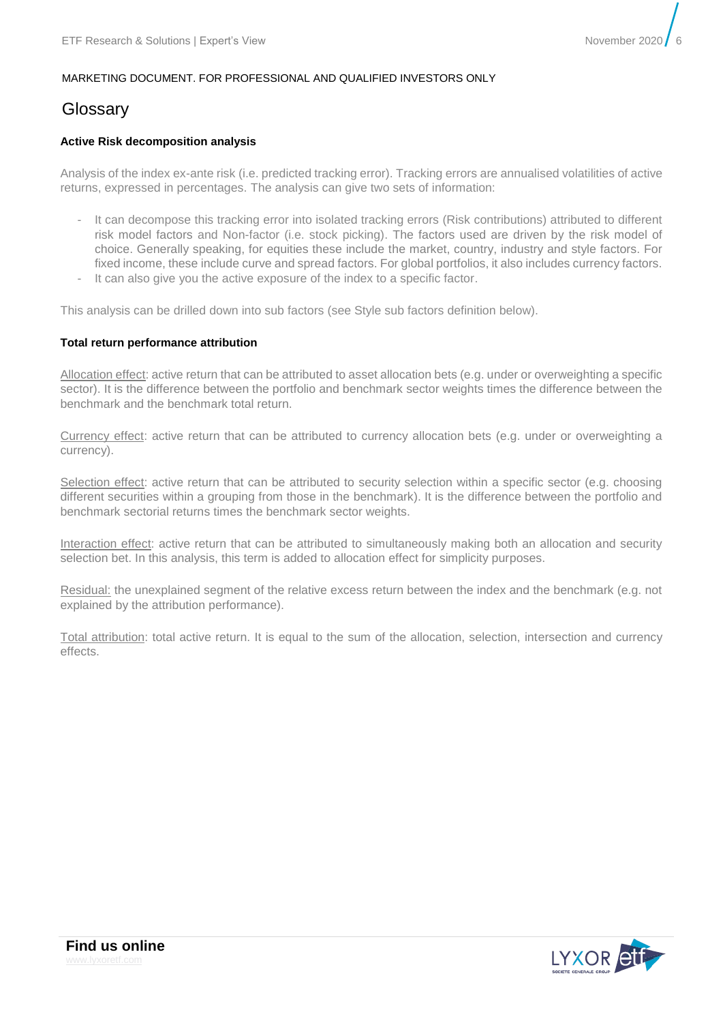# Glossary

# **Active Risk decomposition analysis**

Analysis of the index ex-ante risk (i.e. predicted tracking error). Tracking errors are annualised volatilities of active returns, expressed in percentages. The analysis can give two sets of information:

- It can decompose this tracking error into isolated tracking errors (Risk contributions) attributed to different risk model factors and Non-factor (i.e. stock picking). The factors used are driven by the risk model of choice. Generally speaking, for equities these include the market, country, industry and style factors. For fixed income, these include curve and spread factors. For global portfolios, it also includes currency factors.
- It can also give you the active exposure of the index to a specific factor.

This analysis can be drilled down into sub factors (see Style sub factors definition below).

# **Total return performance attribution**

Allocation effect: active return that can be attributed to asset allocation bets (e.g. under or overweighting a specific sector). It is the difference between the portfolio and benchmark sector weights times the difference between the benchmark and the benchmark total return.

Currency effect: active return that can be attributed to currency allocation bets (e.g. under or overweighting a currency).

Selection effect: active return that can be attributed to security selection within a specific sector (e.g. choosing different securities within a grouping from those in the benchmark). It is the difference between the portfolio and benchmark sectorial returns times the benchmark sector weights.

Interaction effect: active return that can be attributed to simultaneously making both an allocation and security selection bet. In this analysis, this term is added to allocation effect for simplicity purposes.

Residual: the unexplained segment of the relative excess return between the index and the benchmark (e.g. not explained by the attribution performance).

Total attribution: total active return. It is equal to the sum of the allocation, selection, intersection and currency effects.

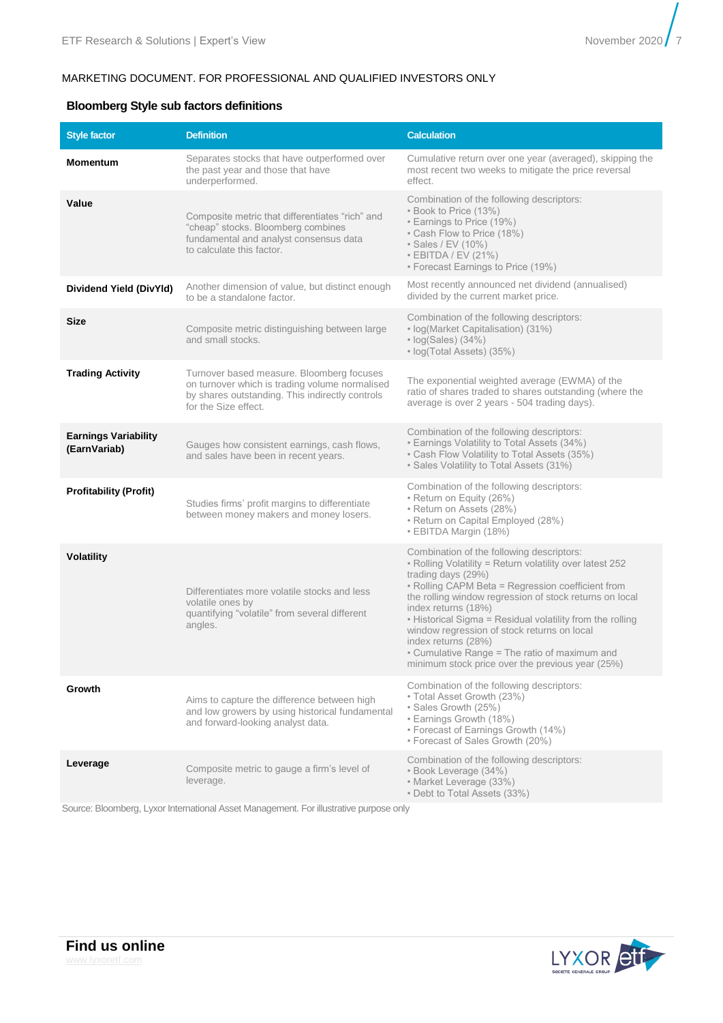# **Bloomberg Style sub factors definitions**

| <b>Style factor</b>                         | <b>Definition</b>                                                                                                                                                      | <b>Calculation</b>                                                                                                                                                                                                                                                                                                                                                                                                                                                                                         |
|---------------------------------------------|------------------------------------------------------------------------------------------------------------------------------------------------------------------------|------------------------------------------------------------------------------------------------------------------------------------------------------------------------------------------------------------------------------------------------------------------------------------------------------------------------------------------------------------------------------------------------------------------------------------------------------------------------------------------------------------|
| <b>Momentum</b>                             | Separates stocks that have outperformed over<br>the past year and those that have<br>underperformed.                                                                   | Cumulative return over one year (averaged), skipping the<br>most recent two weeks to mitigate the price reversal<br>effect.                                                                                                                                                                                                                                                                                                                                                                                |
| Value                                       | Composite metric that differentiates "rich" and<br>"cheap" stocks. Bloomberg combines<br>fundamental and analyst consensus data<br>to calculate this factor.           | Combination of the following descriptors:<br>· Book to Price (13%)<br>• Earnings to Price (19%)<br>• Cash Flow to Price (18%)<br>• Sales / EV (10%)<br>• EBITDA / EV (21%)<br>• Forecast Earnings to Price (19%)                                                                                                                                                                                                                                                                                           |
| Dividend Yield (DivYld)                     | Another dimension of value, but distinct enough<br>to be a standalone factor.                                                                                          | Most recently announced net dividend (annualised)<br>divided by the current market price.                                                                                                                                                                                                                                                                                                                                                                                                                  |
| <b>Size</b>                                 | Composite metric distinguishing between large<br>and small stocks.                                                                                                     | Combination of the following descriptors:<br>• log(Market Capitalisation) (31%)<br>$\cdot$ log(Sales) (34%)<br>• log(Total Assets) (35%)                                                                                                                                                                                                                                                                                                                                                                   |
| <b>Trading Activity</b>                     | Turnover based measure. Bloomberg focuses<br>on turnover which is trading volume normalised<br>by shares outstanding. This indirectly controls<br>for the Size effect. | The exponential weighted average (EWMA) of the<br>ratio of shares traded to shares outstanding (where the<br>average is over 2 years - 504 trading days).                                                                                                                                                                                                                                                                                                                                                  |
| <b>Earnings Variability</b><br>(EarnVariab) | Gauges how consistent earnings, cash flows,<br>and sales have been in recent years.                                                                                    | Combination of the following descriptors:<br>• Earnings Volatility to Total Assets (34%)<br>• Cash Flow Volatility to Total Assets (35%)<br>• Sales Volatility to Total Assets (31%)                                                                                                                                                                                                                                                                                                                       |
| <b>Profitability (Profit)</b>               | Studies firms' profit margins to differentiate<br>between money makers and money losers.                                                                               | Combination of the following descriptors:<br>• Return on Equity (26%)<br>• Return on Assets (28%)<br>• Return on Capital Employed (28%)<br>• EBITDA Margin (18%)                                                                                                                                                                                                                                                                                                                                           |
| Volatility                                  | Differentiates more volatile stocks and less<br>volatile ones by<br>quantifying "volatile" from several different<br>angles.                                           | Combination of the following descriptors:<br>. Rolling Volatility = Return volatility over latest 252<br>trading days (29%)<br>• Rolling CAPM Beta = Regression coefficient from<br>the rolling window regression of stock returns on local<br>index returns (18%)<br>• Historical Sigma = Residual volatility from the rolling<br>window regression of stock returns on local<br>index returns (28%)<br>• Cumulative Range = The ratio of maximum and<br>minimum stock price over the previous year (25%) |
| Growth                                      | Aims to capture the difference between high<br>and low growers by using historical fundamental<br>and forward-looking analyst data.                                    | Combination of the following descriptors:<br>• Total Asset Growth (23%)<br>· Sales Growth (25%)<br>• Earnings Growth (18%)<br>• Forecast of Earnings Growth (14%)<br>• Forecast of Sales Growth (20%)                                                                                                                                                                                                                                                                                                      |
| Leverage                                    | Composite metric to gauge a firm's level of<br>leverage.                                                                                                               | Combination of the following descriptors:<br>• Book Leverage (34%)<br>• Market Leverage (33%)<br>• Debt to Total Assets (33%)                                                                                                                                                                                                                                                                                                                                                                              |

Source: Bloomberg, Lyxor International Asset Management. For illustrative purpose only

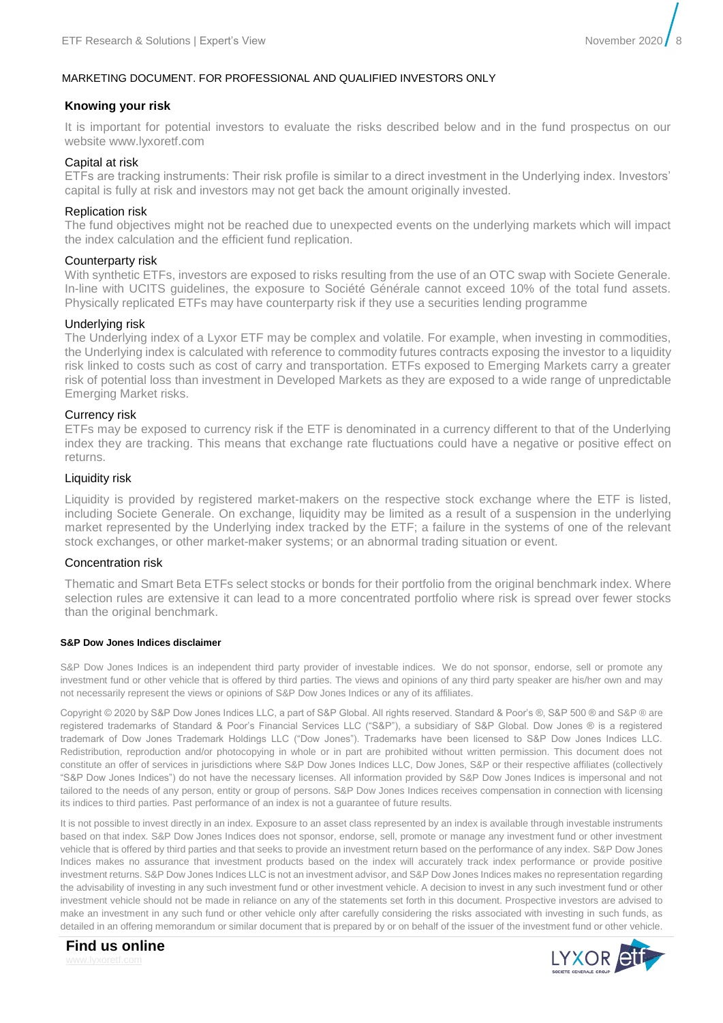# **Knowing your risk**

It is important for potential investors to evaluate the risks described below and in the fund prospectus on our website www.lyxoretf.com

## Capital at risk

ETFs are tracking instruments: Their risk profile is similar to a direct investment in the Underlying index. Investors' capital is fully at risk and investors may not get back the amount originally invested.

### Replication risk

The fund objectives might not be reached due to unexpected events on the underlying markets which will impact the index calculation and the efficient fund replication.

## Counterparty risk

With synthetic ETFs, investors are exposed to risks resulting from the use of an OTC swap with Societe Generale. In-line with UCITS guidelines, the exposure to Société Générale cannot exceed 10% of the total fund assets. Physically replicated ETFs may have counterparty risk if they use a securities lending programme

## Underlying risk

The Underlying index of a Lyxor ETF may be complex and volatile. For example, when investing in commodities, the Underlying index is calculated with reference to commodity futures contracts exposing the investor to a liquidity risk linked to costs such as cost of carry and transportation. ETFs exposed to Emerging Markets carry a greater risk of potential loss than investment in Developed Markets as they are exposed to a wide range of unpredictable Emerging Market risks.

## Currency risk

ETFs may be exposed to currency risk if the ETF is denominated in a currency different to that of the Underlying index they are tracking. This means that exchange rate fluctuations could have a negative or positive effect on returns.

## Liquidity risk

Liquidity is provided by registered market-makers on the respective stock exchange where the ETF is listed, including Societe Generale. On exchange, liquidity may be limited as a result of a suspension in the underlying market represented by the Underlying index tracked by the ETF; a failure in the systems of one of the relevant stock exchanges, or other market-maker systems; or an abnormal trading situation or event.

### Concentration risk

Thematic and Smart Beta ETFs select stocks or bonds for their portfolio from the original benchmark index. Where selection rules are extensive it can lead to a more concentrated portfolio where risk is spread over fewer stocks than the original benchmark.

### **S&P Dow Jones Indices disclaimer**

S&P Dow Jones Indices is an independent third party provider of investable indices. We do not sponsor, endorse, sell or promote any investment fund or other vehicle that is offered by third parties. The views and opinions of any third party speaker are his/her own and may not necessarily represent the views or opinions of S&P Dow Jones Indices or any of its affiliates.

Copyright © 2020 by S&P Dow Jones Indices LLC, a part of S&P Global. All rights reserved. Standard & Poor's ®, S&P 500 ® and S&P ® are registered trademarks of Standard & Poor's Financial Services LLC ("S&P"), a subsidiary of S&P Global. Dow Jones ® is a registered trademark of Dow Jones Trademark Holdings LLC ("Dow Jones"). Trademarks have been licensed to S&P Dow Jones Indices LLC. Redistribution, reproduction and/or photocopying in whole or in part are prohibited without written permission. This document does not constitute an offer of services in jurisdictions where S&P Dow Jones Indices LLC, Dow Jones, S&P or their respective affiliates (collectively "S&P Dow Jones Indices") do not have the necessary licenses. All information provided by S&P Dow Jones Indices is impersonal and not tailored to the needs of any person, entity or group of persons. S&P Dow Jones Indices receives compensation in connection with licensing its indices to third parties. Past performance of an index is not a guarantee of future results.

It is not possible to invest directly in an index. Exposure to an asset class represented by an index is available through investable instruments based on that index. S&P Dow Jones Indices does not sponsor, endorse, sell, promote or manage any investment fund or other investment vehicle that is offered by third parties and that seeks to provide an investment return based on the performance of any index. S&P Dow Jones Indices makes no assurance that investment products based on the index will accurately track index performance or provide positive investment returns. S&P Dow Jones Indices LLC is not an investment advisor, and S&P Dow Jones Indices makes no representation regarding the advisability of investing in any such investment fund or other investment vehicle. A decision to invest in any such investment fund or other investment vehicle should not be made in reliance on any of the statements set forth in this document. Prospective investors are advised to make an investment in any such fund or other vehicle only after carefully considering the risks associated with investing in such funds, as detailed in an offering memorandum or similar document that is prepared by or on behalf of the issuer of the investment fund or other vehicle.



**Find us online**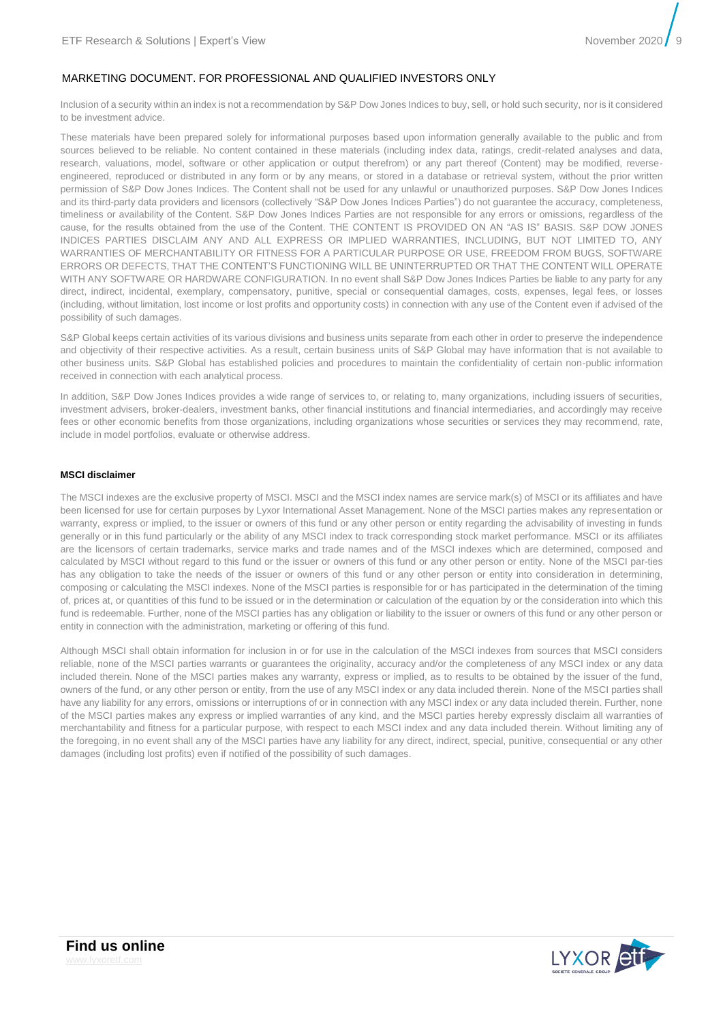Inclusion of a security within an index is not a recommendation by S&P Dow Jones Indices to buy, sell, or hold such security, nor is it considered to be investment advice.

These materials have been prepared solely for informational purposes based upon information generally available to the public and from sources believed to be reliable. No content contained in these materials (including index data, ratings, credit-related analyses and data, research, valuations, model, software or other application or output therefrom) or any part thereof (Content) may be modified, reverseengineered, reproduced or distributed in any form or by any means, or stored in a database or retrieval system, without the prior written permission of S&P Dow Jones Indices. The Content shall not be used for any unlawful or unauthorized purposes. S&P Dow Jones Indices and its third-party data providers and licensors (collectively "S&P Dow Jones Indices Parties") do not guarantee the accuracy, completeness, timeliness or availability of the Content. S&P Dow Jones Indices Parties are not responsible for any errors or omissions, regardless of the cause, for the results obtained from the use of the Content. THE CONTENT IS PROVIDED ON AN "AS IS" BASIS. S&P DOW JONES INDICES PARTIES DISCLAIM ANY AND ALL EXPRESS OR IMPLIED WARRANTIES, INCLUDING, BUT NOT LIMITED TO, ANY WARRANTIES OF MERCHANTABILITY OR FITNESS FOR A PARTICULAR PURPOSE OR USE, FREEDOM FROM BUGS, SOFTWARE ERRORS OR DEFECTS, THAT THE CONTENT'S FUNCTIONING WILL BE UNINTERRUPTED OR THAT THE CONTENT WILL OPERATE WITH ANY SOFTWARE OR HARDWARE CONFIGURATION. In no event shall S&P Dow Jones Indices Parties be liable to any party for any direct, indirect, incidental, exemplary, compensatory, punitive, special or consequential damages, costs, expenses, legal fees, or losses (including, without limitation, lost income or lost profits and opportunity costs) in connection with any use of the Content even if advised of the possibility of such damages.

S&P Global keeps certain activities of its various divisions and business units separate from each other in order to preserve the independence and objectivity of their respective activities. As a result, certain business units of S&P Global may have information that is not available to other business units. S&P Global has established policies and procedures to maintain the confidentiality of certain non-public information received in connection with each analytical process.

In addition, S&P Dow Jones Indices provides a wide range of services to, or relating to, many organizations, including issuers of securities, investment advisers, broker-dealers, investment banks, other financial institutions and financial intermediaries, and accordingly may receive fees or other economic benefits from those organizations, including organizations whose securities or services they may recommend, rate, include in model portfolios, evaluate or otherwise address.

## **MSCI disclaimer**

The MSCI indexes are the exclusive property of MSCI. MSCI and the MSCI index names are service mark(s) of MSCI or its affiliates and have been licensed for use for certain purposes by Lyxor International Asset Management. None of the MSCI parties makes any representation or warranty, express or implied, to the issuer or owners of this fund or any other person or entity regarding the advisability of investing in funds generally or in this fund particularly or the ability of any MSCI index to track corresponding stock market performance. MSCI or its affiliates are the licensors of certain trademarks, service marks and trade names and of the MSCI indexes which are determined, composed and calculated by MSCI without regard to this fund or the issuer or owners of this fund or any other person or entity. None of the MSCI par-ties has any obligation to take the needs of the issuer or owners of this fund or any other person or entity into consideration in determining, composing or calculating the MSCI indexes. None of the MSCI parties is responsible for or has participated in the determination of the timing of, prices at, or quantities of this fund to be issued or in the determination or calculation of the equation by or the consideration into which this fund is redeemable. Further, none of the MSCI parties has any obligation or liability to the issuer or owners of this fund or any other person or entity in connection with the administration, marketing or offering of this fund.

Although MSCI shall obtain information for inclusion in or for use in the calculation of the MSCI indexes from sources that MSCI considers reliable, none of the MSCI parties warrants or guarantees the originality, accuracy and/or the completeness of any MSCI index or any data included therein. None of the MSCI parties makes any warranty, express or implied, as to results to be obtained by the issuer of the fund, owners of the fund, or any other person or entity, from the use of any MSCI index or any data included therein. None of the MSCI parties shall have any liability for any errors, omissions or interruptions of or in connection with any MSCI index or any data included therein. Further, none of the MSCI parties makes any express or implied warranties of any kind, and the MSCI parties hereby expressly disclaim all warranties of merchantability and fitness for a particular purpose, with respect to each MSCI index and any data included therein. Without limiting any of the foregoing, in no event shall any of the MSCI parties have any liability for any direct, indirect, special, punitive, consequential or any other damages (including lost profits) even if notified of the possibility of such damages.

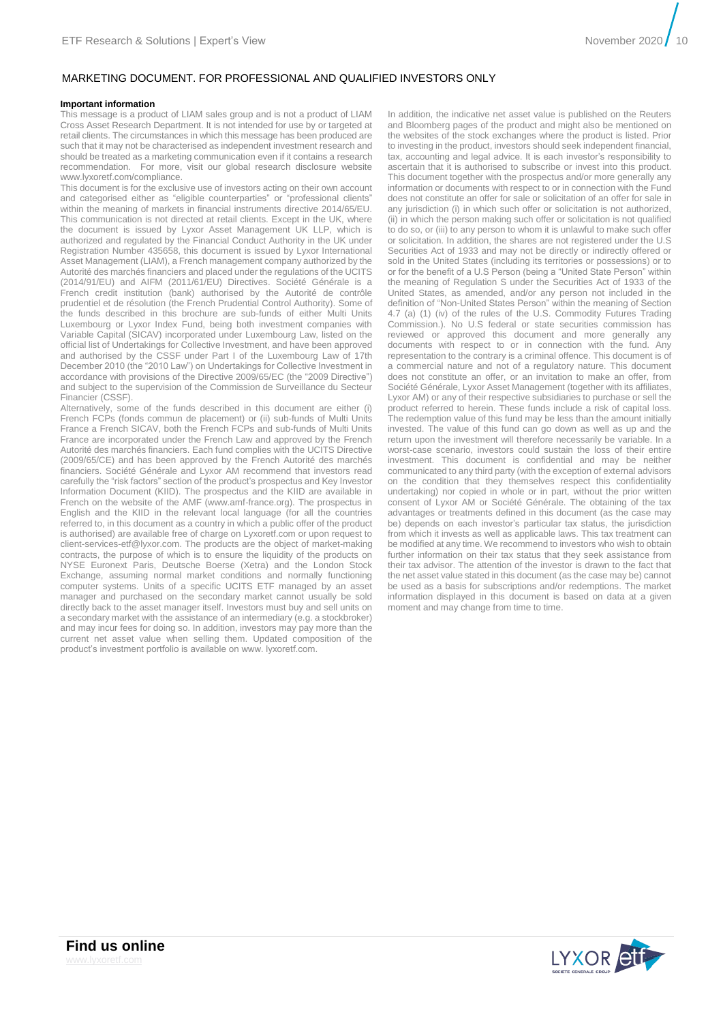### **Important information**

This message is a product of LIAM sales group and is not a product of LIAM Cross Asset Research Department. It is not intended for use by or targeted at retail clients. The circumstances in which this message has been produced are such that it may not be characterised as independent investment research and should be treated as a marketing communication even if it contains a research recommendation. For more, visit our global research disclosure website www.lyxoretf.com/compliance.

This document is for the exclusive use of investors acting on their own account and categorised either as "eligible counterparties" or "professional clients' within the meaning of markets in financial instruments directive 2014/65/EU. This communication is not directed at retail clients. Except in the UK, where the document is issued by Lyxor Asset Management UK LLP, which is authorized and regulated by the Financial Conduct Authority in the UK under Registration Number 435658, this document is issued by Lyxor International Asset Management (LIAM), a French management company authorized by the Autorité des marchés financiers and placed under the regulations of the UCITS (2014/91/EU) and AIFM (2011/61/EU) Directives. Société Générale is a French credit institution (bank) authorised by the Autorité de contrôle prudentiel et de résolution (the French Prudential Control Authority). Some of the funds described in this brochure are sub-funds of either Multi Units Luxembourg or Lyxor Index Fund, being both investment companies with Variable Capital (SICAV) incorporated under Luxembourg Law, listed on the official list of Undertakings for Collective Investment, and have been approved and authorised by the CSSF under Part I of the Luxembourg Law of 17th December 2010 (the "2010 Law") on Undertakings for Collective Investment in accordance with provisions of the Directive 2009/65/EC (the "2009 Directive") and subject to the supervision of the Commission de Surveillance du Secteur Financier (CSSF).

Alternatively, some of the funds described in this document are either (i) French FCPs (fonds commun de placement) or (ii) sub-funds of Multi Units France a French SICAV, both the French FCPs and sub-funds of Multi Units France are incorporated under the French Law and approved by the French Autorité des marchés financiers. Each fund complies with the UCITS Directive (2009/65/CE) and has been approved by the French Autorité des marchés financiers. Société Générale and Lyxor AM recommend that investors read carefully the "risk factors" section of the product's prospectus and Key Investor Information Document (KIID). The prospectus and the KIID are available in French on the website of the AMF (www.amf-france.org). The prospectus in English and the KIID in the relevant local language (for all the countries referred to, in this document as a country in which a public offer of the product is authorised) are available free of charge on Lyxoretf.com or upon request to client-services-etf@lyxor.com. The products are the object of market-making contracts, the purpose of which is to ensure the liquidity of the products on NYSE Euronext Paris, Deutsche Boerse (Xetra) and the London Stock Exchange, assuming normal market conditions and normally functioning computer systems. Units of a specific UCITS ETF managed by an asset manager and purchased on the secondary market cannot usually be sold directly back to the asset manager itself. Investors must buy and sell units on a secondary market with the assistance of an intermediary (e.g. a stockbroker) and may incur fees for doing so. In addition, investors may pay more than the current net asset value when selling them. Updated composition of the product's investment portfolio is available on www. lyxoretf.com.

In addition, the indicative net asset value is published on the Reuters and Bloomberg pages of the product and might also be mentioned on the websites of the stock exchanges where the product is listed. Prior to investing in the product, investors should seek independent financial, tax, accounting and legal advice. It is each investor's responsibility to ascertain that it is authorised to subscribe or invest into this product. This document together with the prospectus and/or more generally any information or documents with respect to or in connection with the Fund does not constitute an offer for sale or solicitation of an offer for sale in any jurisdiction (i) in which such offer or solicitation is not authorized. (ii) in which the person making such offer or solicitation is not qualified to do so, or (iii) to any person to whom it is unlawful to make such offer or solicitation. In addition, the shares are not registered under the U.S Securities Act of 1933 and may not be directly or indirectly offered or sold in the United States (including its territories or possessions) or to or for the benefit of a U.S Person (being a "United State Person" within the meaning of Regulation S under the Securities Act of 1933 of the United States, as amended, and/or any person not included in the definition of "Non-United States Person" within the meaning of Section 4.7 (a) (1) (iv) of the rules of the U.S. Commodity Futures Trading Commission.). No U.S federal or state securities commission has reviewed or approved this document and more generally any documents with respect to or in connection with the fund. Any representation to the contrary is a criminal offence. This document is of a commercial nature and not of a regulatory nature. This document does not constitute an offer, or an invitation to make an offer, from Société Générale, Lyxor Asset Management (together with its affiliates, Lyxor AM) or any of their respective subsidiaries to purchase or sell the product referred to herein. These funds include a risk of capital loss. .<br>The redemption value of this fund may be less than the amount initially invested. The value of this fund can go down as well as up and the return upon the investment will therefore necessarily be variable. In a worst-case scenario, investors could sustain the loss of their entire investment. This document is confidential and may be neither communicated to any third party (with the exception of external advisors on the condition that they themselves respect this confidentiality undertaking) nor copied in whole or in part, without the prior written consent of Lyxor AM or Société Générale. The obtaining of the tax advantages or treatments defined in this document (as the case may be) depends on each investor's particular tax status, the jurisdiction from which it invests as well as applicable laws. This tax treatment can be modified at any time. We recommend to investors who wish to obtain further information on their tax status that they seek assistance from their tax advisor. The attention of the investor is drawn to the fact that the net asset value stated in this document (as the case may be) cannot be used as a basis for subscriptions and/or redemptions. The market information displayed in this document is based on data at a given moment and may change from time to time.